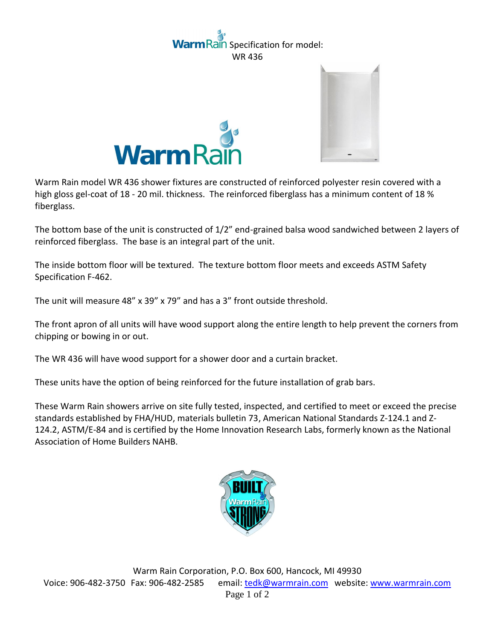## ain Specification for model: WR 436





Warm Rain model WR 436 shower fixtures are constructed of reinforced polyester resin covered with a high gloss gel-coat of 18 - 20 mil. thickness. The reinforced fiberglass has a minimum content of 18 % fiberglass.

The bottom base of the unit is constructed of 1/2" end-grained balsa wood sandwiched between 2 layers of reinforced fiberglass. The base is an integral part of the unit.

The inside bottom floor will be textured. The texture bottom floor meets and exceeds ASTM Safety Specification F-462.

The unit will measure 48" x 39" x 79" and has a 3" front outside threshold.

The front apron of all units will have wood support along the entire length to help prevent the corners from chipping or bowing in or out.

The WR 436 will have wood support for a shower door and a curtain bracket.

These units have the option of being reinforced for the future installation of grab bars.

These Warm Rain showers arrive on site fully tested, inspected, and certified to meet or exceed the precise standards established by FHA/HUD, materials bulletin 73, American National Standards Z-124.1 and Z-124.2, ASTM/E-84 and is certified by the Home Innovation Research Labs, formerly known as the National Association of Home Builders NAHB.